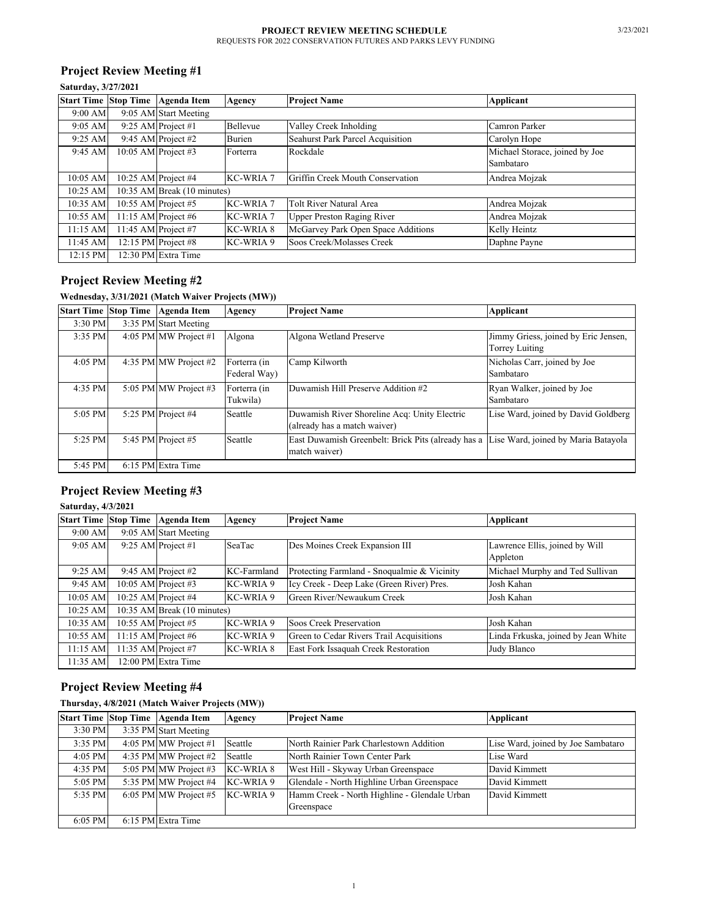## **Project Review Meeting #1**

### **Saturday, 3/27/2021**

|            | Start Time Stop Time Agenda Item | Agency                      | <b>Project Name</b>                     | Applicant                      |  |  |
|------------|----------------------------------|-----------------------------|-----------------------------------------|--------------------------------|--|--|
| 9:00 AM    | 9:05 AM Start Meeting            |                             |                                         |                                |  |  |
| 9:05 AM    | 9:25 AM Project #1               | Bellevue                    | Valley Creek Inholding                  | Camron Parker                  |  |  |
| 9:25 AM    | 9:45 AM Project #2               | Burien                      | <b>Seahurst Park Parcel Acquisition</b> | Carolyn Hope                   |  |  |
| 9:45 AM    | 10:05 AM Project #3              | Forterra                    | Rockdale                                | Michael Storace, joined by Joe |  |  |
|            |                                  |                             |                                         | Sambataro                      |  |  |
| 10:05 AM   | 10:25 AM Project $#4$            | <b>KC-WRIA 7</b>            | Griffin Creek Mouth Conservation        | Andrea Mojzak                  |  |  |
| 10:25 AM   |                                  | 10:35 AM Break (10 minutes) |                                         |                                |  |  |
| 10:35 AM   | 10:55 AM Project #5              | <b>KC-WRIA 7</b>            | Tolt River Natural Area                 | Andrea Mojzak                  |  |  |
| 10:55 AM   | 11:15 AM Project #6              | <b>KC-WRIA 7</b>            | <b>Upper Preston Raging River</b>       | Andrea Mojzak                  |  |  |
| $11:15$ AM | 11:45 AM Project #7              | <b>KC-WRIA 8</b>            | McGarvey Park Open Space Additions      | Kelly Heintz                   |  |  |
| 11:45 AM   | 12:15 PM Project #8              | KC-WRIA 9                   | Soos Creek/Molasses Creek               | Daphne Payne                   |  |  |
| 12:15 PM   | 12:30 PM Extra Time              |                             |                                         |                                |  |  |

# **Project Review Meeting #2**

# **Wednesday, 3/31/2021 (Match Waiver Projects (MW))**

| <b>Start Time Stop Time</b> | <b>Agenda</b> Item      | Agency                       | <b>Project Name</b>                                                                                     | <b>Applicant</b>                                       |
|-----------------------------|-------------------------|------------------------------|---------------------------------------------------------------------------------------------------------|--------------------------------------------------------|
| 3:30 PM                     | 3:35 PM Start Meeting   |                              |                                                                                                         |                                                        |
| 3:35 PM                     | 4:05 PM MW Project #1   | Algona                       | Algona Wetland Preserve                                                                                 | Jimmy Griess, joined by Eric Jensen,<br>Torrey Luiting |
| $4:05$ PM                   | 4:35 PM MW Project #2   | Forterra (in<br>Federal Way) | Camp Kilworth                                                                                           | Nicholas Carr, joined by Joe<br>Sambataro              |
| 4:35 PM                     | 5:05 PM MW Project $#3$ | Forterra (in<br>Tukwila)     | Duwamish Hill Preserve Addition #2                                                                      | Ryan Walker, joined by Joe<br>Sambataro                |
| 5:05 PM                     | 5:25 PM Project $#4$    | Seattle                      | Duwamish River Shoreline Acq: Unity Electric<br>(already has a match waiver)                            | Lise Ward, joined by David Goldberg                    |
| 5:25 PM                     | 5:45 PM Project #5      | Seattle                      | East Duwamish Greenbelt: Brick Pits (already has a Lise Ward, joined by Maria Batayola<br>match waiver) |                                                        |
| 5:45 PM                     | 6:15 PM Extra Time      |                              |                                                                                                         |                                                        |

## **Project Review Meeting #3**

### **Saturday, 4/3/2021**

| <b>Start Time Stop Time</b> | <b>Agenda Item</b>          | Agency           | <b>Project Name</b>                         | <b>Applicant</b>                    |  |  |
|-----------------------------|-----------------------------|------------------|---------------------------------------------|-------------------------------------|--|--|
| 9:00 AM                     | 9:05 AM Start Meeting       |                  |                                             |                                     |  |  |
| $9:05 \text{ AM}$           | 9:25 AM Project $#1$        | SeaTac           | Des Moines Creek Expansion III              | Lawrence Ellis, joined by Will      |  |  |
|                             |                             |                  |                                             | Appleton                            |  |  |
| 9:25 AM                     | 9:45 AM Project #2          | KC-Farmland      | Protecting Farmland - Snoqualmie & Vicinity | Michael Murphy and Ted Sullivan     |  |  |
| 9:45 AM                     | 10:05 AM Project #3         | KC-WRIA 9        | Icy Creek - Deep Lake (Green River) Pres.   | Josh Kahan                          |  |  |
| 10:05 AM                    | 10:25 AM Project #4         | KC-WRIA 9        | Green River/Newaukum Creek                  | Josh Kahan                          |  |  |
| 10:25 AM                    | 10:35 AM Break (10 minutes) |                  |                                             |                                     |  |  |
| 10:35 AM                    | 10:55 AM Project #5         | KC-WRIA 9        | Soos Creek Preservation                     | Josh Kahan                          |  |  |
| 10:55 AM                    | 11:15 AM Project #6         | KC-WRIA 9        | Green to Cedar Rivers Trail Acquisitions    | Linda Frkuska, joined by Jean White |  |  |
| $11:15$ AM                  | 11:35 AM Project #7         | <b>KC-WRIA 8</b> | East Fork Issaquah Creek Restoration        | Judy Blanco                         |  |  |
| 11:35 AM                    | 12:00 PM Extra Time         |                  |                                             |                                     |  |  |

## **Project Review Meeting #4**

#### **Thursday, 4/8/2021 (Match Waiver Projects (MW))**

|         | Start Time Stop Time Agenda Item   | Agency    | <b>Project Name</b>                          | Applicant                          |
|---------|------------------------------------|-----------|----------------------------------------------|------------------------------------|
| 3:30 PM | 3:35 PM Start Meeting              |           |                                              |                                    |
| 3:35 PM | 4:05 PM MW Project #1              | Seattle   | North Rainier Park Charlestown Addition      | Lise Ward, joined by Joe Sambataro |
| 4:05 PM | 4:35 PM MW Project $#2$            | Seattle   | North Rainier Town Center Park               | Lise Ward                          |
| 4:35 PM | 5:05 PM MW Project #3              | KC-WRIA 8 | West Hill - Skyway Urban Greenspace          | David Kimmett                      |
| 5:05 PM | 5:35 PM MW Project $#4$            | KC-WRIA 9 | Glendale - North Highline Urban Greenspace   | David Kimmett                      |
| 5:35 PM | 6:05 PM MW Project #5 $K$ C-WRIA 9 |           | Hamm Creek - North Highline - Glendale Urban | David Kimmett                      |
|         |                                    |           | Greenspace                                   |                                    |
| 6:05 PM | 6:15 PM Extra Time                 |           |                                              |                                    |